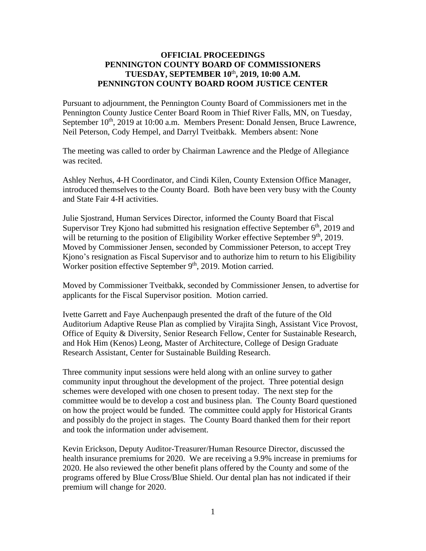## **OFFICIAL PROCEEDINGS PENNINGTON COUNTY BOARD OF COMMISSIONERS TUESDAY, SEPTEMBER 10**th **, 2019, 10:00 A.M. PENNINGTON COUNTY BOARD ROOM JUSTICE CENTER**

Pursuant to adjournment, the Pennington County Board of Commissioners met in the Pennington County Justice Center Board Room in Thief River Falls, MN, on Tuesday, September 10<sup>th</sup>, 2019 at 10:00 a.m. Members Present: Donald Jensen, Bruce Lawrence, Neil Peterson, Cody Hempel, and Darryl Tveitbakk. Members absent: None

The meeting was called to order by Chairman Lawrence and the Pledge of Allegiance was recited.

Ashley Nerhus, 4-H Coordinator, and Cindi Kilen, County Extension Office Manager, introduced themselves to the County Board. Both have been very busy with the County and State Fair 4-H activities.

Julie Sjostrand, Human Services Director, informed the County Board that Fiscal Supervisor Trey Kjono had submitted his resignation effective September  $6<sup>th</sup>$ , 2019 and will be returning to the position of Eligibility Worker effective September 9<sup>th</sup>, 2019. Moved by Commissioner Jensen, seconded by Commissioner Peterson, to accept Trey Kjono's resignation as Fiscal Supervisor and to authorize him to return to his Eligibility Worker position effective September 9<sup>th</sup>, 2019. Motion carried.

Moved by Commissioner Tveitbakk, seconded by Commissioner Jensen, to advertise for applicants for the Fiscal Supervisor position. Motion carried.

Ivette Garrett and Faye Auchenpaugh presented the draft of the future of the Old Auditorium Adaptive Reuse Plan as complied by Virajita Singh, Assistant Vice Provost, Office of Equity & Diversity, Senior Research Fellow, Center for Sustainable Research, and Hok Him (Kenos) Leong, Master of Architecture, College of Design Graduate Research Assistant, Center for Sustainable Building Research.

Three community input sessions were held along with an online survey to gather community input throughout the development of the project. Three potential design schemes were developed with one chosen to present today. The next step for the committee would be to develop a cost and business plan. The County Board questioned on how the project would be funded. The committee could apply for Historical Grants and possibly do the project in stages. The County Board thanked them for their report and took the information under advisement.

Kevin Erickson, Deputy Auditor-Treasurer/Human Resource Director, discussed the health insurance premiums for 2020. We are receiving a 9.9% increase in premiums for 2020. He also reviewed the other benefit plans offered by the County and some of the programs offered by Blue Cross/Blue Shield. Our dental plan has not indicated if their premium will change for 2020.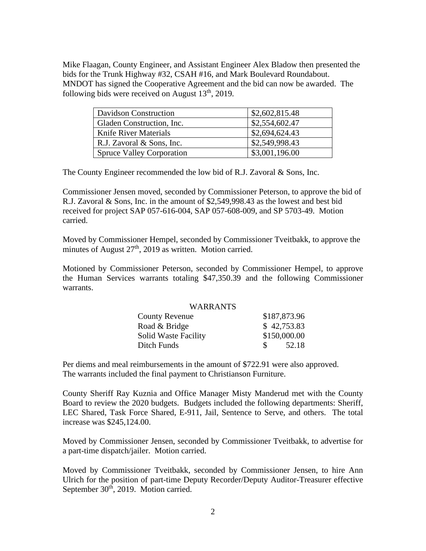Mike Flaagan, County Engineer, and Assistant Engineer Alex Bladow then presented the bids for the Trunk Highway #32, CSAH #16, and Mark Boulevard Roundabout. MNDOT has signed the Cooperative Agreement and the bid can now be awarded. The following bids were received on August  $13<sup>th</sup>$ , 2019.

| Davidson Construction            | \$2,602,815.48 |
|----------------------------------|----------------|
| Gladen Construction, Inc.        | \$2,554,602.47 |
| Knife River Materials            | \$2,694,624.43 |
| R.J. Zavoral & Sons, Inc.        | \$2,549,998.43 |
| <b>Spruce Valley Corporation</b> | \$3,001,196.00 |

The County Engineer recommended the low bid of R.J. Zavoral & Sons, Inc.

Commissioner Jensen moved, seconded by Commissioner Peterson, to approve the bid of R.J. Zavoral & Sons, Inc. in the amount of \$2,549,998.43 as the lowest and best bid received for project SAP 057-616-004, SAP 057-608-009, and SP 5703-49. Motion carried.

Moved by Commissioner Hempel, seconded by Commissioner Tveitbakk, to approve the minutes of August 27<sup>th</sup>, 2019 as written. Motion carried.

Motioned by Commissioner Peterson, seconded by Commissioner Hempel, to approve the Human Services warrants totaling \$47,350.39 and the following Commissioner warrants.

## WARRANTS

| <b>County Revenue</b>       | \$187,873.96 |
|-----------------------------|--------------|
| Road & Bridge               | \$42,753.83  |
| <b>Solid Waste Facility</b> | \$150,000.00 |
| Ditch Funds                 | 52.18<br>-SS |

Per diems and meal reimbursements in the amount of \$722.91 were also approved. The warrants included the final payment to Christianson Furniture.

County Sheriff Ray Kuznia and Office Manager Misty Manderud met with the County Board to review the 2020 budgets. Budgets included the following departments: Sheriff, LEC Shared, Task Force Shared, E-911, Jail, Sentence to Serve, and others. The total increase was \$245,124.00.

Moved by Commissioner Jensen, seconded by Commissioner Tveitbakk, to advertise for a part-time dispatch/jailer. Motion carried.

Moved by Commissioner Tveitbakk, seconded by Commissioner Jensen, to hire Ann Ulrich for the position of part-time Deputy Recorder/Deputy Auditor-Treasurer effective September 30<sup>th</sup>, 2019. Motion carried.